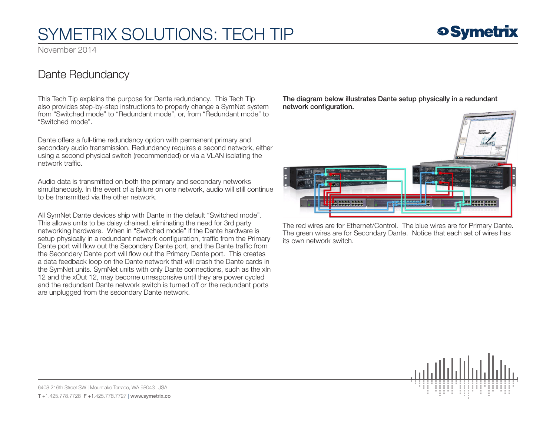# SYMETRIX SOLUTIONS: TECH TIP

November 2014

### Dante Redundancy

This Tech Tip explains the purpose for Dante redundancy. This Tech Tip also provides step-by-step instructions to properly change a SymNet system from "Switched mode" to "Redundant mode", or, from "Redundant mode" to "Switched mode".

Dante offers a full-time redundancy option with permanent primary and secondary audio transmission. Redundancy requires a second network, either using a second physical switch (recommended) or via a VLAN isolating the network traffic.

Audio data is transmitted on both the primary and secondary networks simultaneously. In the event of a failure on one network, audio will still continue to be transmitted via the other network.

All SymNet Dante devices ship with Dante in the default "Switched mode". This allows units to be daisy chained, eliminating the need for 3rd party networking hardware. When in "Switched mode" if the Dante hardware is setup physically in a redundant network configuration, traffic from the Primary Dante port will flow out the Secondary Dante port, and the Dante traffic from the Secondary Dante port will flow out the Primary Dante port. This creates a data feedback loop on the Dante network that will crash the Dante cards in the SymNet units. SymNet units with only Dante connections, such as the xIn 12 and the xOut 12, may become unresponsive until they are power cycled and the redundant Dante network switch is turned off or the redundant ports are unplugged from the secondary Dante network.

The diagram below illustrates Dante setup physically in a redundant network configuration.



The red wires are for Ethernet/Control. The blue wires are for Primary Dante. The green wires are for Secondary Dante. Notice that each set of wires has its own network switch.



**o Symetrix** 

6408 216th Street SW | Mountlake Terrace, WA 98043 USA T +1.425.778.7728 F +1.425.778.7727 | www.symetrix.co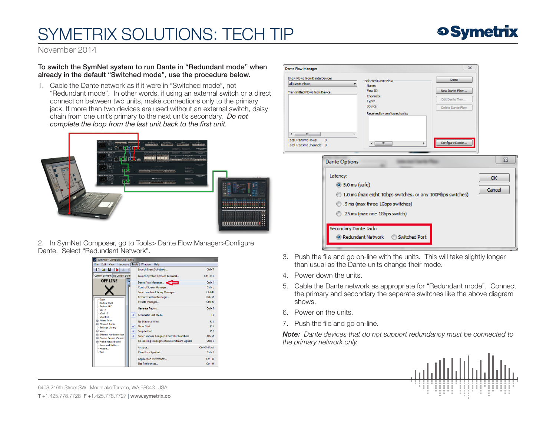# SYMETRIX SOLUTIONS: TECH TIP



November 2014

### To switch the SymNet system to run Dante in "Redundant mode" when already in the default "Switched mode", use the procedure below.

1. Cable the Dante network as if it were in "Switched mode", not "Redundant mode". In other words, if using an external switch or a direct connection between two units, make connections only to the primary jack. If more than two devices are used without an external switch, daisy chain from one unit's primary to the next unit's secondary. *Do not complete the loop from the last unit back to the first unit.*



2. In SymNet Composer, go to Tools> Dante Flow Manager>Configure Dante. Select "Redundant Network".

| SymNet™ Composer 2.5 - Site1                                             |                        |                                                 |                    |
|--------------------------------------------------------------------------|------------------------|-------------------------------------------------|--------------------|
| Hardware<br><b>Tools</b><br>Edit<br>View<br>Window<br>Help<br>File       |                        |                                                 |                    |
| D a<br>H<br>Γŧ<br>廊<br>$\frac{1}{2}$                                     |                        | Launch Event Scheduler                          | $Ctrl + T$         |
| Control Screens: No Control Scree                                        | $\checkmark$<br>✓<br>V | Launch SymNet Remote Terminal                   | $C$ trl+ $F10$     |
| <b>OFF-LINE</b>                                                          |                        | Dante Flow Manager                              | $Ctrl+K$           |
|                                                                          |                        | Control Screen Manager                          | $Ctrl + L$         |
|                                                                          |                        | Super-module Library Manager                    | $C$ trl+U          |
|                                                                          |                        | Remote Control Manager                          | $Ctrl + M$         |
| -- Edge<br>- Dadius 12v8                                                 |                        | Presets Manager                                 | $Ctrl + G$         |
| - Radius AFC<br>$- xln 12$                                               |                        | Generate Report                                 | $Ctrl + R$         |
| $-xOut 12$<br>- xControl                                                 |                        | <b>Schematic Edit Mode</b>                      | F9                 |
| <b>E</b> Attern Tech<br><b>G</b> Stewart Audio                           |                        | No Diagonal Wires                               | F10                |
| -- Settings Library                                                      |                        | Show Grid                                       | F11                |
| <b>ID Viss</b>                                                           |                        | <b>Snap to Grid</b>                             | F12                |
| External Hardware Icor<br><b>E</b> Control Screen Viewer                 |                        | <b>Super-impose Assigned Controller Numbers</b> | $Alt+M$            |
| <b>E</b> Preset Recall Button<br>- Command Button<br>- Picture<br>- Text |                        | Re-labeling Propagates to Downstream Signals    | $Ctrl + B$         |
|                                                                          |                        | Analyze                                         | $Ctrl + Shift + A$ |
|                                                                          |                        | <b>Clear Error Symbols</b>                      | $CrI + F$          |
|                                                                          |                        | <b>Application Preferences</b>                  | $Ctrl + O$         |
|                                                                          |                        | Site Preferences                                | $Ctrl + H$         |



- 3. Push the file and go on-line with the units. This will take slightly longer than usual as the Dante units change their mode.
- 4. Power down the units.
- 5. Cable the Dante network as appropriate for "Redundant mode". Connect the primary and secondary the separate switches like the above diagram shows.
- 6. Power on the units.
- 7. Push the file and go on-line.

*Note: Dante devices that do not support redundancy must be connected to the primary network only.* 



6408 216th Street SW | Mountlake Terrace, WA 98043 USA T +1.425.778.7728 F +1.425.778.7727 | www.symetrix.co